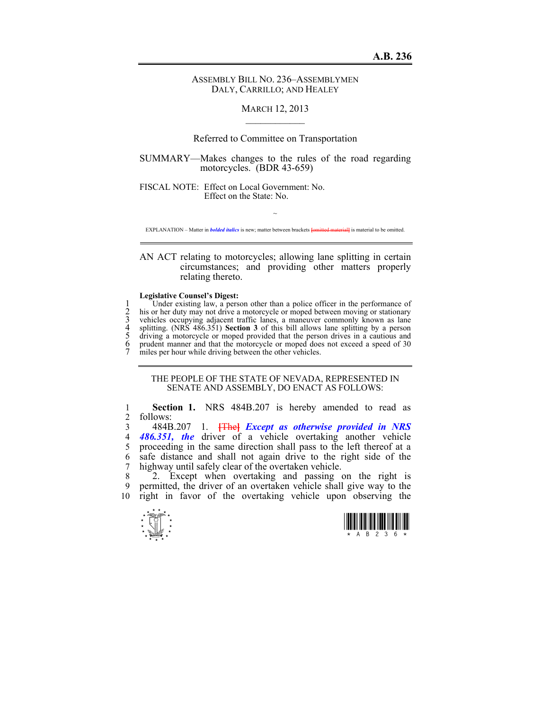## ASSEMBLY BILL NO. 236–ASSEMBLYMEN DALY, CARRILLO; AND HEALEY

## MARCH 12, 2013  $\mathcal{L}_\text{max}$

## Referred to Committee on Transportation

SUMMARY—Makes changes to the rules of the road regarding motorcycles. (BDR 43-659)

FISCAL NOTE: Effect on Local Government: No. Effect on the State: No.

 $\sim$ EXPLANATION – Matter in *bolded italics* is new; matter between brackets **[**omitted material**]** is material to be omitted.

AN ACT relating to motorcycles; allowing lane splitting in certain circumstances; and providing other matters properly relating thereto.

## **Legislative Counsel's Digest:**

1 Under existing law, a person other than a police officer in the performance of<br>
2 his or her duty may not drive a motorcycle or moped between moving or stationary<br>
3 vehicles occupying adjacent traffic lanes, a maneuver his or her duty may not drive a motorcycle or moped between moving or stationary 3 vehicles occupying adjacent traffic lanes, a maneuver commonly known as lane 4 splitting. (NRS 486.351) **Section 3** of this bill allows lane splitting by a person driving a motorcycle or moped provided that the person drives in a cautious and prudent manner and that the motorcycle or moped does not exceed a speed of 30 miles per hour while driving between the other vehicles.

THE PEOPLE OF THE STATE OF NEVADA, REPRESENTED IN SENATE AND ASSEMBLY, DO ENACT AS FOLLOWS:

1 **Section 1.** NRS 484B.207 is hereby amended to read as  $\frac{2}{10}$  follows: follows:

3 484B.207 1. **[**The**]** *Except as otherwise provided in NRS*  4 *486.351, the* driver of a vehicle overtaking another vehicle 5 proceeding in the same direction shall pass to the left thereof at a 6 safe distance and shall not again drive to the right side of the 7 highway until safely clear of the overtaken vehicle.<br>8 2 Except when overtaking and passing

2. Except when overtaking and passing on the right is 9 permitted, the driver of an overtaken vehicle shall give way to the 10 right in favor of the overtaking vehicle upon observing the



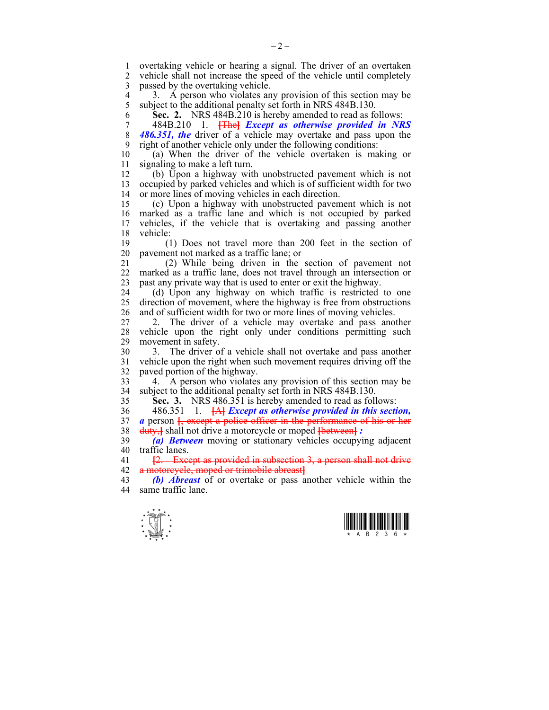1 overtaking vehicle or hearing a signal. The driver of an overtaken 2 vehicle shall not increase the speed of the vehicle until completely 3 passed by the overtaking vehicle.

4 3. A person who violates any provision of this section may be subject to the additional penalty set forth in NRS 484B.130. subject to the additional penalty set forth in NRS 484B.130.

6 **Sec. 2.** NRS 484B.210 is hereby amended to read as follows:

7 484B.210 1. **[**The**]** *Except as otherwise provided in NRS*  8 *486.351, the* driver of a vehicle may overtake and pass upon the 9 right of another vehicle only under the following conditions:

10 (a) When the driver of the vehicle overtaken is making or 11 signaling to make a left turn.

12 (b) Upon a highway with unobstructed pavement which is not 13 occupied by parked vehicles and which is of sufficient width for two 14 or more lines of moving vehicles in each direction.

15 (c) Upon a highway with unobstructed pavement which is not 16 marked as a traffic lane and which is not occupied by parked 17 vehicles, if the vehicle that is overtaking and passing another 18 vehicle:

19 (1) Does not travel more than 200 feet in the section of 20 pavement not marked as a traffic lane; or

21 (2) While being driven in the section of pavement not 22 marked as a traffic lane, does not travel through an intersection or 23 past any private way that is used to enter or exit the highway.

24 (d) Upon any highway on which traffic is restricted to one 25 direction of movement, where the highway is free from obstructions 26 and of sufficient width for two or more lines of moving vehicles.

27 2. The driver of a vehicle may overtake and pass another 28 vehicle upon the right only under conditions permitting such movement in safety. movement in safety.

30 3. The driver of a vehicle shall not overtake and pass another 31 vehicle upon the right when such movement requires driving off the 32 paved portion of the highway.

33 4. A person who violates any provision of this section may be 34 subject to the additional penalty set forth in NRS 484B.130.

35 **Sec. 3.** NRS 486.351 is hereby amended to read as follows:

36 486.351 1. **[**A**]** *Except as otherwise provided in this section,*  37 *a* person **[**, except a police officer in the performance of his or her 38 duty,**]** shall not drive a motorcycle or moped **[**between**]** *:* 

39 *(a) Between* moving or stationary vehicles occupying adjacent 40 traffic lanes.

41 **[**2. Except as provided in subsection 3, a person shall not drive 42 a motorcycle, moped or trimobile abreast**]**

43 *(b) Abreast* of or overtake or pass another vehicle within the 44 same traffic lane.